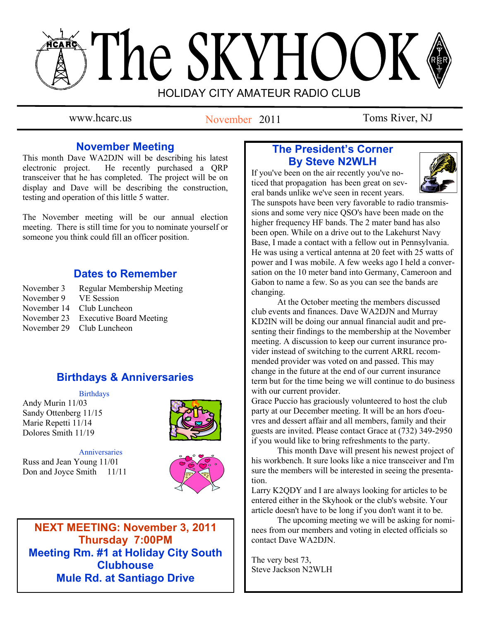# The SKYHOOK HOLIDAY CITY AMATEUR RADIO CLUB

November 2011

www.hcarc.us November 2011 Toms River, NJ

## **November Meeting**

This month Dave WA2DJN will be describing his latest electronic project. He recently purchased a QRP transceiver that he has completed. The project will be on display and Dave will be describing the construction, testing and operation of this little 5 watter.

The November meeting will be our annual election meeting. There is still time for you to nominate yourself or someone you think could fill an officer position.

## **Dates to Remember**

November 3 Regular Membership Meeting November 9 VE Session November 14 Club Luncheon November 23 Executive Board Meeting November 29 Club Luncheon

## **Birthdays & Anniversaries**

#### **Birthdays**

Andy Murin 11/03 Sandy Ottenberg 11/15 Marie Repetti 11/14 Dolores Smith 11/19



Anniversaries Russ and Jean Young 11/01 Don and Joyce Smith 11/11



**NEXT MEETING: November 3, 2011 Thursday 7:00PM Meeting Rm. #1 at Holiday City South Clubhouse Mule Rd. at Santiago Drive**

## **The President's Corner By Steve N2WLH**

If you've been on the air recently you've noticed that propagation has been great on several bands unlike we've seen in recent years.



The sunspots have been very favorable to radio transmissions and some very nice QSO's have been made on the higher frequency HF bands. The 2 mater band has also been open. While on a drive out to the Lakehurst Navy Base, I made a contact with a fellow out in Pennsylvania. He was using a vertical antenna at 20 feet with 25 watts of power and I was mobile. A few weeks ago I held a conversation on the 10 meter band into Germany, Cameroon and Gabon to name a few. So as you can see the bands are changing.

 At the October meeting the members discussed club events and finances. Dave WA2DJN and Murray KD2IN will be doing our annual financial audit and presenting their findings to the membership at the November meeting. A discussion to keep our current insurance provider instead of switching to the current ARRL recommended provider was voted on and passed. This may change in the future at the end of our current insurance term but for the time being we will continue to do business with our current provider.

Grace Puccio has graciously volunteered to host the club party at our December meeting. It will be an hors d'oeuvres and dessert affair and all members, family and their guests are invited. Please contact Grace at (732) 349-2950 if you would like to bring refreshments to the party.

 This month Dave will present his newest project of his workbench. It sure looks like a nice transceiver and I'm sure the members will be interested in seeing the presentation.

Larry K2QDY and I are always looking for articles to be entered either in the Skyhook or the club's website. Your article doesn't have to be long if you don't want it to be.

 The upcoming meeting we will be asking for nominees from our members and voting in elected officials so contact Dave WA2DJN.

The very best 73, Steve Jackson N2WLH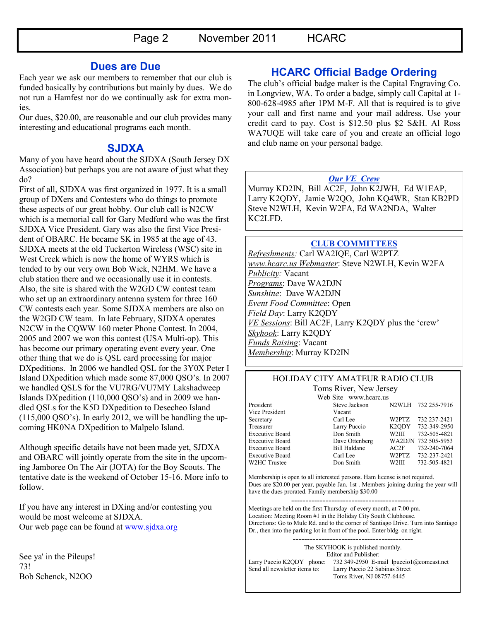#### **Dues are Due**

Each year we ask our members to remember that our club is funded basically by contributions but mainly by dues. We do not run a Hamfest nor do we continually ask for extra monies.

Our dues, \$20.00, are reasonable and our club provides many interesting and educational programs each month.

#### **SJDXA**

Many of you have heard about the SJDXA (South Jersey DX Association) but perhaps you are not aware of just what they do?

First of all, SJDXA was first organized in 1977. It is a small group of DXers and Contesters who do things to promote these aspects of our great hobby. Our club call is N2CW which is a memorial call for Gary Medford who was the first SJDXA Vice President. Gary was also the first Vice President of OBARC. He became SK in 1985 at the age of 43. SJDXA meets at the old Tuckerton Wireless (WSC) site in West Creek which is now the home of WYRS which is tended to by our very own Bob Wick, N2HM. We have a club station there and we occasionally use it in contests. Also, the site is shared with the W2GD CW contest team who set up an extraordinary antenna system for three 160 CW contests each year. Some SJDXA members are also on the W2GD CW team. In late February, SJDXA operates N2CW in the CQWW 160 meter Phone Contest. In 2004, 2005 and 2007 we won this contest (USA Multi-op). This has become our primary operating event every year. One other thing that we do is QSL card processing for major DXpeditions. In 2006 we handled QSL for the 3Y0X Peter I Island DXpedition which made some 87,000 QSO"s. In 2007 we handled QSLS for the VU7RG/VU7MY Lakshadweep Islands DXpedition (110,000 QSO"s) and in 2009 we handled QSLs for the K5D DXpedition to Desecheo Island (115,000 QSO"s). In early 2012, we will be handling the upcoming HK0NA DXpedition to Malpelo Island.

Although specific details have not been made yet, SJDXA and OBARC will jointly operate from the site in the upcoming Jamboree On The Air (JOTA) for the Boy Scouts. The tentative date is the weekend of October 15-16. More info to follow.

If you have any interest in DXing and/or contesting you would be most welcome at SJDXA. Our web page can be found at [www.sjdxa.org](http://www.sjdxa.org)

See ya' in the Pileups! 73! Bob Schenck, N2OO

## **HCARC Official Badge Ordering**

The club"s official badge maker is the Capital Engraving Co. in Longview, WA. To order a badge, simply call Capital at 1- 800-628-4985 after 1PM M-F. All that is required is to give your call and first name and your mail address. Use your credit card to pay. Cost is \$12.50 plus \$2 S&H. Al Ross WA7UQE will take care of you and create an official logo and club name on your personal badge.

#### *Our VE Crew*

Murray KD2IN, Bill AC2F, John K2JWH, Ed W1EAP, Larry K2QDY, Jamie W2QO, John KQ4WR, Stan KB2PD Steve N2WLH, Kevin W2FA, Ed WA2NDA, Walter KC2LFD.

#### **CLUB COMMITTEES**

*Refreshments:* Carl WA2IQE, Carl W2PTZ *www.hcarc.us Webmaster*: Steve N2WLH, Kevin W2FA *Publicity:* Vacant *Programs*: Dave WA2DJN *Sunshine*: Dave WA2DJN *Event Food Committee*: Open *Field Day*: Larry K2QDY *VE Sessions*: Bill AC2F, Larry K2QDY plus the "crew" *Skyhook*: Larry K2QDY *Funds Raising*: Vacant *Membership*: Murray KD2IN

#### HOLIDAY CITY AMATEUR RADIO CLUB Toms River, New Jersey

Web Site www.hcarc.us

Vice President Vacant



Membership is open to all interested persons. Ham license is not required. Dues are \$20.00 per year, payable Jan. 1st . Members joining during the year will have the dues prorated. Family membership \$30.00

------------------------------------------- Meetings are held on the first Thursday of every month, at 7:00 pm. Location: Meeting Room #1 in the Holiday City South Clubhouse. Directions: Go to Mule Rd. and to the corner of Santiago Drive. Turn into Santiago Dr., then into the parking lot in front of the pool. Enter bldg. on right.

The SKYHOOK is published monthly. Editor and Publisher: Larry Puccio K2QDY phone: 732 349-2950 E-mail lpuccio1@comcast.net<br>Send all newsletter items to: Larry Puccio 22 Sabinas Street Larry Puccio 22 Sabinas Street Toms River, NJ 08757-6445

------------------------------------------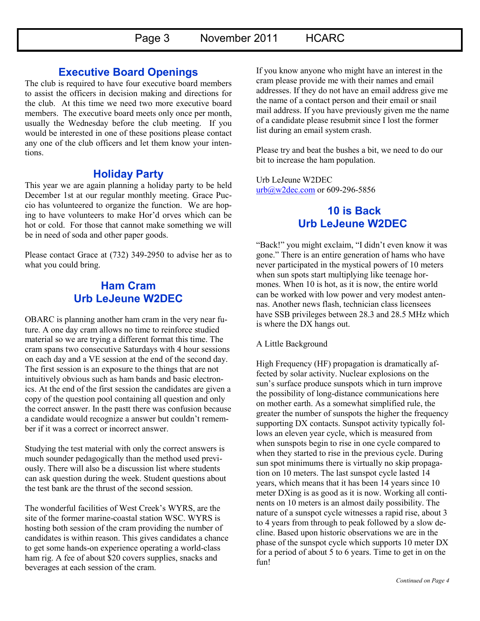## **Executive Board Openings**

The club is required to have four executive board members to assist the officers in decision making and directions for the club. At this time we need two more executive board members. The executive board meets only once per month, usually the Wednesday before the club meeting. If you would be interested in one of these positions please contact any one of the club officers and let them know your intentions.

## **Holiday Party**

This year we are again planning a holiday party to be held December 1st at our regular monthly meeting. Grace Puccio has volunteered to organize the function. We are hoping to have volunteers to make Hor"d orves which can be hot or cold. For those that cannot make something we will be in need of soda and other paper goods.

Please contact Grace at (732) 349-2950 to advise her as to what you could bring.

## **Ham Cram Urb LeJeune W2DEC**

OBARC is planning another ham cram in the very near future. A one day cram allows no time to reinforce studied material so we are trying a different format this time. The cram spans two consecutive Saturdays with 4 hour sessions on each day and a VE session at the end of the second day. The first session is an exposure to the things that are not intuitively obvious such as ham bands and basic electronics. At the end of the first session the candidates are given a copy of the question pool containing all question and only the correct answer. In the pastt there was confusion because a candidate would recognize a answer but couldn"t remember if it was a correct or incorrect answer.

Studying the test material with only the correct answers is much sounder pedagogically than the method used previously. There will also be a discussion list where students can ask question during the week. Student questions about the test bank are the thrust of the second session.

The wonderful facilities of West Creek"s WYRS, are the site of the former marine-coastal station WSC. WYRS is hosting both session of the cram providing the number of candidates is within reason. This gives candidates a chance to get some hands-on experience operating a world-class ham rig. A fee of about \$20 covers supplies, snacks and beverages at each session of the cram.

If you know anyone who might have an interest in the cram please provide me with their names and email addresses. If they do not have an email address give me the name of a contact person and their email or snail mail address. If you have previously given me the name of a candidate please resubmit since I lost the former list during an email system crash.

Please try and beat the bushes a bit, we need to do our bit to increase the ham population.

Urb LeJeune W2DEC [urb@w2dec.com](mailto:urb@w2dec.com) or 609-296-5856

## **10 is Back Urb LeJeune W2DEC**

"Back!" you might exclaim, "I didn"t even know it was gone." There is an entire generation of hams who have never participated in the mystical powers of 10 meters when sun spots start multiplying like teenage hormones. When 10 is hot, as it is now, the entire world can be worked with low power and very modest antennas. Another news flash, technician class licensees have SSB privileges between 28.3 and 28.5 MHz which is where the DX hangs out.

#### A Little Background

High Frequency (HF) propagation is dramatically affected by solar activity. Nuclear explosions on the sun"s surface produce sunspots which in turn improve the possibility of long-distance communications here on mother earth. As a somewhat simplified rule, the greater the number of sunspots the higher the frequency supporting DX contacts. Sunspot activity typically follows an eleven year cycle, which is measured from when sunspots begin to rise in one cycle compared to when they started to rise in the previous cycle. During sun spot minimums there is virtually no skip propagation on 10 meters. The last sunspot cycle lasted 14 years, which means that it has been 14 years since 10 meter DXing is as good as it is now. Working all continents on 10 meters is an almost daily possibility. The nature of a sunspot cycle witnesses a rapid rise, about 3 to 4 years from through to peak followed by a slow decline. Based upon historic observations we are in the phase of the sunspot cycle which supports 10 meter DX for a period of about 5 to 6 years. Time to get in on the fun!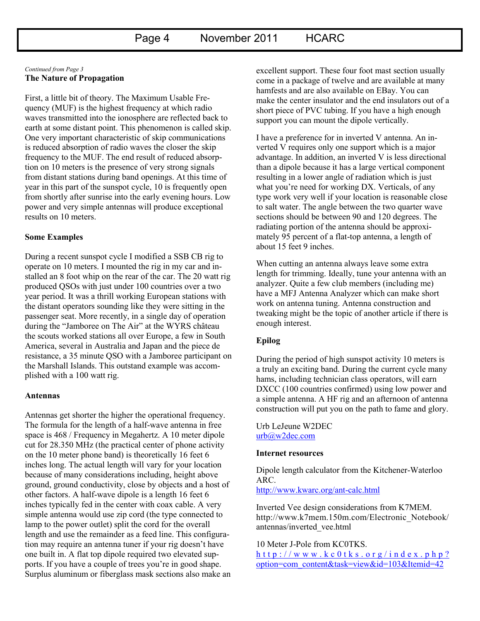#### *Continued from Page 3* **The Nature of Propagation**

First, a little bit of theory. The Maximum Usable Frequency (MUF) is the highest frequency at which radio waves transmitted into the ionosphere are reflected back to earth at some distant point. This phenomenon is called skip. One very important characteristic of skip communications is reduced absorption of radio waves the closer the skip frequency to the MUF. The end result of reduced absorption on 10 meters is the presence of very strong signals from distant stations during band openings. At this time of year in this part of the sunspot cycle, 10 is frequently open from shortly after sunrise into the early evening hours. Low power and very simple antennas will produce exceptional results on 10 meters.

#### **Some Examples**

During a recent sunspot cycle I modified a SSB CB rig to operate on 10 meters. I mounted the rig in my car and installed an 8 foot whip on the rear of the car. The 20 watt rig produced QSOs with just under 100 countries over a two year period. It was a thrill working European stations with the distant operators sounding like they were sitting in the passenger seat. More recently, in a single day of operation during the "Jamboree on The Air" at the WYRS château the scouts worked stations all over Europe, a few in South America, several in Australia and Japan and the piece de resistance, a 35 minute QSO with a Jamboree participant on the Marshall Islands. This outstand example was accomplished with a 100 watt rig.

#### **Antennas**

Antennas get shorter the higher the operational frequency. The formula for the length of a half-wave antenna in free space is 468 / Frequency in Megahertz. A 10 meter dipole cut for 28.350 MHz (the practical center of phone activity on the 10 meter phone band) is theoretically 16 feet 6 inches long. The actual length will vary for your location because of many considerations including, height above ground, ground conductivity, close by objects and a host of other factors. A half-wave dipole is a length 16 feet 6 inches typically fed in the center with coax cable. A very simple antenna would use zip cord (the type connected to lamp to the power outlet) split the cord for the overall length and use the remainder as a feed line. This configuration may require an antenna tuner if your rig doesn"t have one built in. A flat top dipole required two elevated supports. If you have a couple of trees you"re in good shape. Surplus aluminum or fiberglass mask sections also make an excellent support. These four foot mast section usually come in a package of twelve and are available at many hamfests and are also available on EBay. You can make the center insulator and the end insulators out of a short piece of PVC tubing. If you have a high enough support you can mount the dipole vertically.

I have a preference for in inverted V antenna. An inverted V requires only one support which is a major advantage. In addition, an inverted V is less directional than a dipole because it has a large vertical component resulting in a lower angle of radiation which is just what you're need for working DX. Verticals, of any type work very well if your location is reasonable close to salt water. The angle between the two quarter wave sections should be between 90 and 120 degrees. The radiating portion of the antenna should be approximately 95 percent of a flat-top antenna, a length of about 15 feet 9 inches.

When cutting an antenna always leave some extra length for trimming. Ideally, tune your antenna with an analyzer. Quite a few club members (including me) have a MFJ Antenna Analyzer which can make short work on antenna tuning. Antenna construction and tweaking might be the topic of another article if there is enough interest.

#### **Epilog**

During the period of high sunspot activity 10 meters is a truly an exciting band. During the current cycle many hams, including technician class operators, will earn DXCC (100 countries confirmed) using low power and a simple antenna. A HF rig and an afternoon of antenna construction will put you on the path to fame and glory.

Urb LeJeune W2DEC [urb@w2dec.com](mailto:urb@w2dec.com)

#### **Internet resources**

Dipole length calculator from the Kitchener-Waterloo ARC.

<http://www.kwarc.org/ant-calc.html>

Inverted Vee design considerations from K7MEM. http://www.k7mem.150m.com/Electronic\_Notebook/ antennas/inverted\_vee.html

10 Meter J-Pole from KC0TKS.

h t t p :  $\frac{1}{w}$  w w w . k c 0 t k s . o r g  $\frac{1}{w}$  in d e x . p h p ? [option=com\\_content&task=view&id=103&Itemid=42](http://www.kc0tks.org/index.php?option=com_content&task=view&id=103&Itemid=42)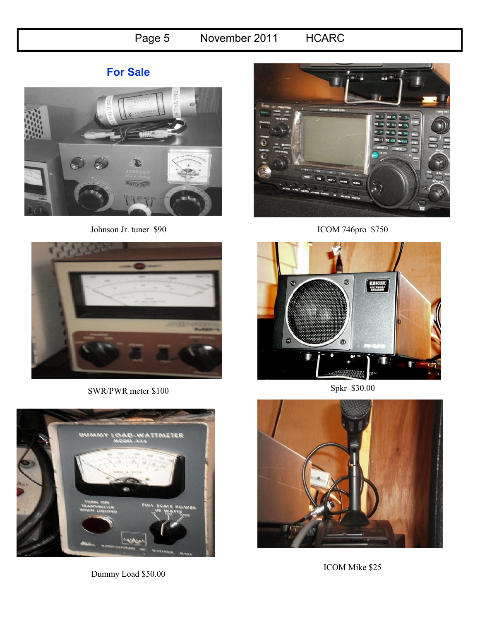# Page 5 November 2011 HCARC

## **For Sale**



Johnson Jr. tuner \$90



ICOM 746pro \$750



SWR/PWR meter \$100



Dummy Load \$50.00



Spkr \$30.00



ICOM Mike \$25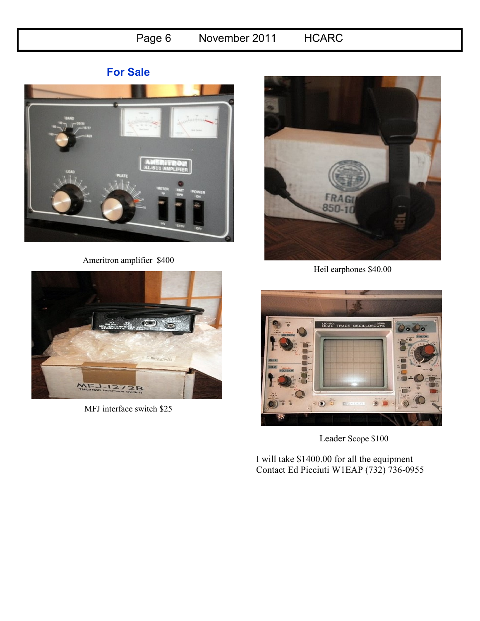# Page 6 November 2011 HCARC



Ameritron amplifier \$400



MFJ interface switch \$25



Heil earphones \$40.00



Leader Scope \$100

I will take \$1400.00 for all the equipment Contact Ed Picciuti W1EAP (732) 736-0955

## **For Sale**